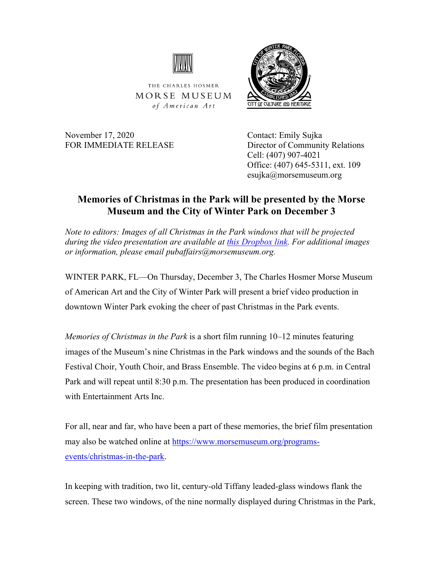

THE CHARLES HOSMER MORSE MUSEUM of American Art

November 17, 2020 Contact: Emily Sujka

FOR IMMEDIATE RELEASE Director of Community Relations Cell: (407) 907-4021 Office: (407) 645-5311, ext. 109 esujka@morsemuseum.org

CITY OF CULTURE AND HERITAGE

## **Memories of Christmas in the Park will be presented by the Morse Museum and the City of Winter Park on December 3**

*Note to editors: Images of all Christmas in the Park windows that will be projected during the video presentation are available at [this Dropbox link.](https://www.dropbox.com/sh/gxtyzuxwlhxg8a4/AACjzFNlwIARB1e0NC1FWhpGa?dl=0) For additional images or information, please email pubaffairs@morsemuseum.org.*

WINTER PARK, FL—On Thursday, December 3, The Charles Hosmer Morse Museum of American Art and the City of Winter Park will present a brief video production in downtown Winter Park evoking the cheer of past Christmas in the Park events.

*Memories of Christmas in the Park* is a short film running 10–12 minutes featuring images of the Museum's nine Christmas in the Park windows and the sounds of the Bach Festival Choir, Youth Choir, and Brass Ensemble. The video begins at 6 p.m. in Central Park and will repeat until 8:30 p.m. The presentation has been produced in coordination with Entertainment Arts Inc.

For all, near and far, who have been a part of these memories, the brief film presentation may also be watched online at [https://www.morsemuseum.org/programs](https://www.morsemuseum.org/programs-events/christmas-in-the-park)[events/christmas-in-the-park.](https://www.morsemuseum.org/programs-events/christmas-in-the-park)

In keeping with tradition, two lit, century-old Tiffany leaded-glass windows flank the screen. These two windows, of the nine normally displayed during Christmas in the Park,